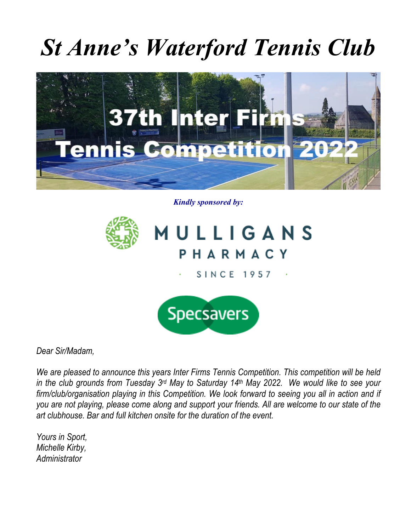## *St Anne's Waterford Tennis Club*



*Kindly sponsored by:*



*Dear Sir/Madam,*

*We are pleased to announce this years Inter Firms Tennis Competition. This competition will be held in the club grounds from Tuesday 3rd May to Saturday 14th May 2022. We would like to see your firm/club/organisation playing in this Competition. We look forward to seeing you all in action and if you are not playing, please come along and support your friends. All are welcome to our state of the art clubhouse. Bar and full kitchen onsite for the duration of the event.*

*Yours in Sport, Michelle Kirby, Administrator*